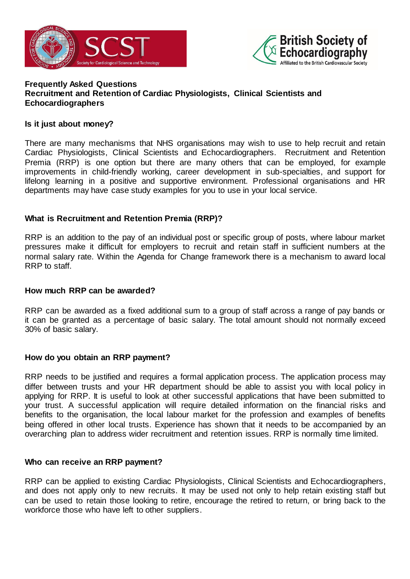



## **Frequently Asked Questions Recruitment and Retention of Cardiac Physiologists, Clinical Scientists and Echocardiographers**

## **Is it just about money?**

There are many mechanisms that NHS organisations may wish to use to help recruit and retain Cardiac Physiologists, Clinical Scientists and Echocardiographers. Recruitment and Retention Premia (RRP) is one option but there are many others that can be employed, for example improvements in child-friendly working, career development in sub-specialties, and support for lifelong learning in a positive and supportive environment. Professional organisations and HR departments may have case study examples for you to use in your local service.

# **What is Recruitment and Retention Premia (RRP)?**

RRP is an addition to the pay of an individual post or specific group of posts, where labour market pressures make it difficult for employers to recruit and retain staff in sufficient numbers at the normal salary rate. Within the Agenda for Change framework there is a mechanism to award local RRP to staff.

#### **How much RRP can be awarded?**

RRP can be awarded as a fixed additional sum to a group of staff across a range of pay bands or it can be granted as a percentage of basic salary. The total amount should not normally exceed 30% of basic salary.

# **How do you obtain an RRP payment?**

RRP needs to be justified and requires a formal application process. The application process may differ between trusts and your HR department should be able to assist you with local policy in applying for RRP. It is useful to look at other successful applications that have been submitted to your trust. A successful application will require detailed information on the financial risks and benefits to the organisation, the local labour market for the profession and examples of benefits being offered in other local trusts. Experience has shown that it needs to be accompanied by an overarching plan to address wider recruitment and retention issues. RRP is normally time limited.

#### **Who can receive an RRP payment?**

RRP can be applied to existing Cardiac Physiologists, Clinical Scientists and Echocardiographers, and does not apply only to new recruits. It may be used not only to help retain existing staff but can be used to retain those looking to retire, encourage the retired to return, or bring back to the workforce those who have left to other suppliers.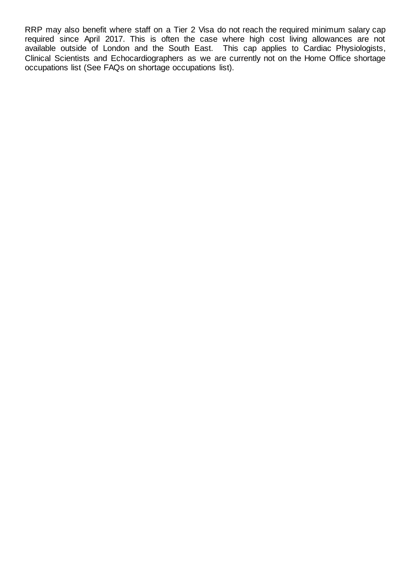RRP may also benefit where staff on a Tier 2 Visa do not reach the required minimum salary cap required since April 2017. This is often the case where high cost living allowances are not available outside of London and the South East. This cap applies to Cardiac Physiologists, Clinical Scientists and Echocardiographers as we are currently not on the Home Office shortage occupations list (See FAQs on shortage occupations list).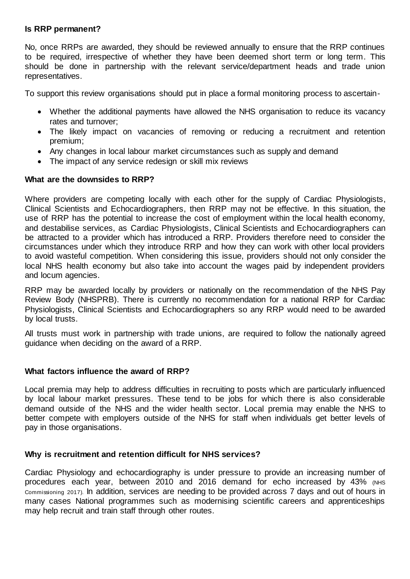## **Is RRP permanent?**

No, once RRPs are awarded, they should be reviewed annually to ensure that the RRP continues to be required, irrespective of whether they have been deemed short term or long term. This should be done in partnership with the relevant service/department heads and trade union representatives.

To support this review organisations should put in place a formal monitoring process to ascertain-

- Whether the additional payments have allowed the NHS organisation to reduce its vacancy rates and turnover;
- The likely impact on vacancies of removing or reducing a recruitment and retention premium;
- Any changes in local labour market circumstances such as supply and demand
- The impact of any service redesign or skill mix reviews

# **What are the downsides to RRP?**

Where providers are competing locally with each other for the supply of Cardiac Physiologists, Clinical Scientists and Echocardiographers, then RRP may not be effective. In this situation, the use of RRP has the potential to increase the cost of employment within the local health economy, and destabilise services, as Cardiac Physiologists, Clinical Scientists and Echocardiographers can be attracted to a provider which has introduced a RRP. Providers therefore need to consider the circumstances under which they introduce RRP and how they can work with other local providers to avoid wasteful competition. When considering this issue, providers should not only consider the local NHS health economy but also take into account the wages paid by independent providers and locum agencies.

RRP may be awarded locally by providers or nationally on the recommendation of the NHS Pay Review Body (NHSPRB). There is currently no recommendation for a national RRP for Cardiac Physiologists, Clinical Scientists and Echocardiographers so any RRP would need to be awarded by local trusts.

All trusts must work in partnership with trade unions, are required to follow the nationally agreed guidance when deciding on the award of a RRP.

# **What factors influence the award of RRP?**

Local premia may help to address difficulties in recruiting to posts which are particularly influenced by local labour market pressures. These tend to be jobs for which there is also considerable demand outside of the NHS and the wider health sector. Local premia may enable the NHS to better compete with employers outside of the NHS for staff when individuals get better levels of pay in those organisations.

# **Why is recruitment and retention difficult for NHS services?**

Cardiac Physiology and echocardiography is under pressure to provide an increasing number of procedures each year, between 2010 and 2016 demand for echo increased by 43% (NHS Commissioning 2017). In addition, services are needing to be provided across 7 days and out of hours in many cases National programmes such as modernising scientific careers and apprenticeships may help recruit and train staff through other routes.